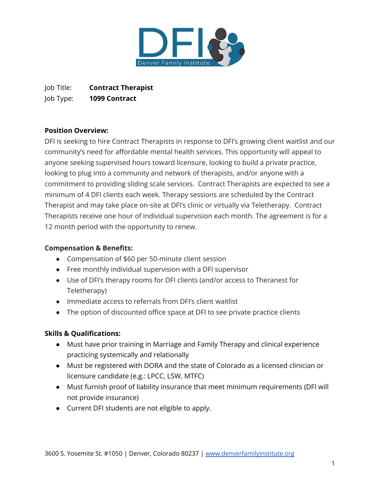

Job Title: **Contract Therapist** Job Type: **1099 Contract**

### **Position Overview:**

DFI is seeking to hire Contract Therapists in response to DFI's growing client waitlist and our community's need for affordable mental health services. This opportunity will appeal to anyone seeking supervised hours toward licensure, looking to build a private practice, looking to plug into a community and network of therapists, and/or anyone with a commitment to providing sliding scale services. Contract Therapists are expected to see a minimum of 4 DFI clients each week. Therapy sessions are scheduled by the Contract Therapist and may take place on-site at DFI's clinic or virtually via Teletherapy. Contract Therapists receive one hour of individual supervision each month. The agreement is for a 12 month period with the opportunity to renew.

#### **Compensation & Benefits:**

- Compensation of \$60 per 50-minute client session
- Free monthly individual supervision with a DFI supervisor
- Use of DFI's therapy rooms for DFI clients (and/or access to Theranest for Teletherapy)
- Immediate access to referrals from DFI's client waitlist
- The option of discounted office space at DFI to see private practice clients

# **Skills & Qualifications:**

- Must have prior training in Marriage and Family Therapy and clinical experience practicing systemically and relationally
- Must be registered with DORA and the state of Colorado as a licensed clinician or licensure candidate (e.g.: LPCC, LSW, MTFC)
- Must furnish proof of liability insurance that meet minimum requirements (DFI will not provide insurance)
- Current DFI students are not eligible to apply.